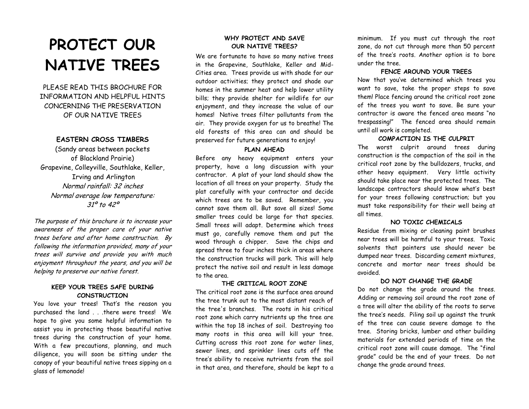# **PROTECT OUR NATIVE TREES**

PLEASE READ THIS BROCHURE FOR INFORMATION AND HELPFUL HINTS CONCERNING THE PRESERVATION OF OUR NATIVE TREES

# **EASTERN CROSS TIMBERS**

(Sandy areas between pockets of Blackland Prairie) Grapevine, Colleyville, Southlake, Keller, Irving and Arlington Normal rainfall: 32 inches Normal average low temperature: 31º to 42º

The purpose of this brochure is to increase your awareness of the proper care of your native trees before and after home construction. By following the information provided, many of your trees will survive and provide you with much enjoyment throughout the years, and you will be helping to preserve our native forest.

## **KEEP YOUR TREES SAFE DURING CONSTRUCTION**

You love your trees! That's the reason you purchased the land . . .there were trees! We hope to give you some helpful information to assist you in protecting those beautiful native trees during the construction of your home. With a few precautions, planning, and much diligence, you will soon be sitting under the canopy of your beautiful native trees sipping on a glass of lemonade!

# **WHY PROTECT AND SAVE OUR NATIVE TREES?**

We are fortunate to have so many native trees in the Grapevine, Southlake, Keller and Mid-Cities area. Trees provide us with shade for our outdoor activities; they protect and shade our homes in the summer heat and help lower utility bills; they provide shelter for wildlife for our enjoyment, and they increase the value of our homes! Native trees filter pollutants from the air. They provide oxygen for us to breathe! The old forests of this area can and should be preserved for future generations to enjoy!

#### **PLAN AHEAD**

Before any heavy equipment enters your property, have a long discussion with your contractor. A plat of your land should show the location of all trees on your property. Study the plat carefully with your contractor and decide which trees are to be saved. Remember, you cannot save them all. But save all sizes! Some smaller trees could be large for that species. Small trees will adapt. Determine which trees must go, carefully remove them and put the wood through a chipper. Save the chips and spread three to four inches thick in areas where the construction trucks will park. This will help protect the native soil and result in less damage to the area.

#### **THE CRITICAL ROOT ZONE**

The critical root zone is the surface area around the tree trunk out to the most distant reach of the tree's branches. The roots in his critical root zone which carry nutrients up the tree are within the top 18 inches of soil. Destroying too many roots in this area will kill your tree. Cutting across this root zone for water lines, sewer lines, and sprinkler lines cuts off the tree's ability to receive nutrients from the soil in that area, and therefore, should be kept to a minimum. If you must cut through the root zone, do not cut through more than 50 percent of the tree's roots. Another option is to bore under the tree.

#### **FENCE AROUND YOUR TREES**

Now that you've determined which trees you want to save, take the proper steps to save them! Place fencing around the critical root zone of the trees you want to save. Be sure your contractor is aware the fenced area means "no trespassing!" The fenced area should remain until all work is completed.

#### **COMPACTION IS THE CULPRIT**

The worst culprit around trees during construction is the compaction of the soil in the critical root zone by the bulldozers, trucks, and other heavy equipment. Very little activity should take place near the protected trees. The landscape contractors should know what's best for your trees following construction; but you must take responsibility for their well being at all times.

## **NO TOXIC CHEMICALS**

Residue from mixing or cleaning paint brushes near trees will be harmful to your trees. Toxic solvents that painters use should never be dumped near trees. Discarding cement mixtures, concrete and mortar near trees should be avoided.

#### **DO NOT CHANGE THE GRADE**

Do not change the grade around the trees. Adding or removing soil around the root zone of a tree will alter the ability of the roots to serve the tree's needs. Piling soil up against the trunk of the tree can cause severe damage to the tree. Storing bricks, lumber and other building materials for extended periods of time on the critical root zone will cause damage. The "final grade" could be the end of your trees. Do not change the grade around trees.